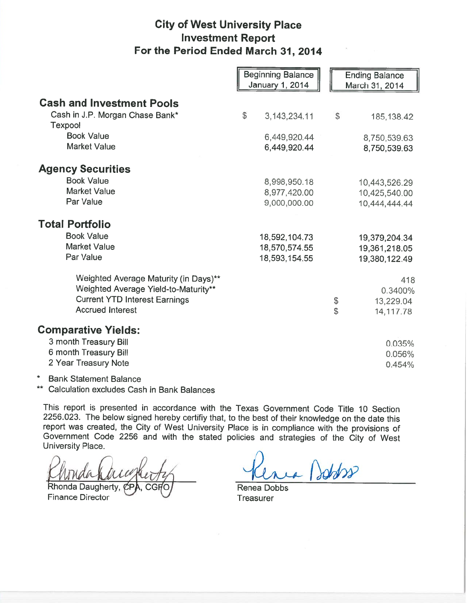## City of West University Place Investment Report For the Period Ended March 31, 2014

|                                                                               | <b>Beginning Balance</b><br><b>January 1, 2014</b> | <b>Ending Balance</b><br>March 31, 2014 |
|-------------------------------------------------------------------------------|----------------------------------------------------|-----------------------------------------|
| <b>Cash and Investment Pools</b>                                              |                                                    |                                         |
| Cash in J.P. Morgan Chase Bank*<br><b>Texpool</b>                             | \$<br>3, 143, 234. 11                              | \$<br>185, 138.42                       |
| <b>Book Value</b>                                                             | 6,449,920.44                                       | 8,750,539.63                            |
| <b>Market Value</b>                                                           | 6,449,920.44                                       | 8,750,539.63                            |
| <b>Agency Securities</b>                                                      |                                                    |                                         |
| <b>Book Value</b>                                                             | 8,998,950.18                                       | 10,443,526.29                           |
| <b>Market Value</b>                                                           | 8,977,420.00                                       | 10,425,540.00                           |
| Par Value                                                                     | 9,000,000.00                                       | 10,444,444.44                           |
| <b>Total Portfolio</b>                                                        |                                                    |                                         |
| <b>Book Value</b>                                                             | 18,592,104.73                                      | 19,379,204.34                           |
| <b>Market Value</b>                                                           | 18,570,574.55                                      | 19,361,218.05                           |
| Par Value                                                                     | 18,593,154.55                                      | 19,380,122.49                           |
| Weighted Average Maturity (in Days)**<br>Weighted Average Yield-to-Maturity** |                                                    | 418<br>0.3400%                          |
| <b>Current YTD Interest Earnings</b>                                          |                                                    | \$<br>13,229.04                         |
| <b>Accrued Interest</b>                                                       |                                                    | \$<br>14,117.78                         |
| <b>Comparative Yields:</b>                                                    |                                                    |                                         |
| 3 month Treasury Bill                                                         |                                                    | 0.035%                                  |
| 6 month Treasury Bill                                                         |                                                    | 0.056%                                  |
| 2 Year Treasury Note                                                          |                                                    | 0.454%                                  |

\* Bank Statement Balance

Calculation excludes Cash in Bank Balances

This report is presented in accordance with the Texas Government Code Title 10 Section 2256.023. The below signed hereby certifiy that, to the best of their knowledge on the date this report was created, the City of West University Place is in compliance with the provisions of Government Code 2256 and with the stated policies and strategies of the City of West<br>University Place.<br>Rhonda Daugherty, CPA, CGPO Renea Dobbs<br>Finance Director Treasurer University Place.

Finance Director  $\qquad \qquad \qquad \qquad$  Treasurer

achpo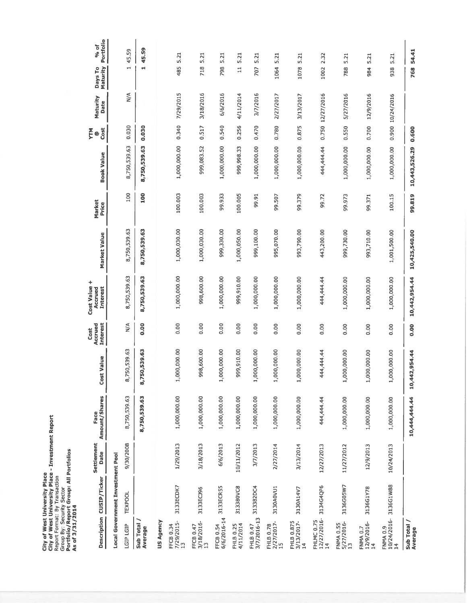|                                                                                                                                                               | Face<br>Amount/S         |
|---------------------------------------------------------------------------------------------------------------------------------------------------------------|--------------------------|
|                                                                                                                                                               | Settlement<br>Date       |
| City of West University Place - Investment Report<br>Portfolio/Report Group: All Portfolios<br>City of West University Place<br>Report Format: By Transaction | Description CUSIP/Ticker |
| Group By: Security Sector<br>As of 3/31/2014                                                                                                                  |                          |

| <b>Description</b>                        | CUSIP/Ticker                     | Settlement<br>Date | Amount/Shares<br>Face | <b>Cost Value</b> | <b>Interest</b><br>Accrued<br>Cost | ÷<br>Cost Value<br><b>Interest</b><br>Accrued | Market Value  | Market<br>Price | <b>Book Value</b> | Cost<br>ξ® | Maturity<br>Date | Maturity<br>Days To      | Portfolio<br>% of |
|-------------------------------------------|----------------------------------|--------------------|-----------------------|-------------------|------------------------------------|-----------------------------------------------|---------------|-----------------|-------------------|------------|------------------|--------------------------|-------------------|
|                                           | Local Government Investment Pool |                    |                       |                   |                                    |                                               |               |                 |                   |            |                  |                          |                   |
| LGIP LGIP                                 | <b>TEXPOOL</b>                   | 9/30/2008          | 8,750,539.63          | 8,750,539.63      | $\leq$                             | 8,750,539.63                                  | 8,750,539.63  | 100             | 8,750,539.63      | 0.030      | $\frac{4}{2}$    | $\overline{\phantom{0}}$ | 45.59             |
| Sub Total /<br>Average                    |                                  |                    | 8,750,539.63          | 50,539.63<br>8,7  | 0.00                               | 8,750,539.63                                  | 8,750,539.63  | 100             | 8,750,539.63      | 0.030      |                  | ٣Ì                       | 45.S9             |
| US Agency                                 |                                  |                    |                       |                   |                                    |                                               |               |                 |                   |            |                  |                          |                   |
| FFCB 0.34<br>7/29/2015-<br>$\mathbf{r}$   | 3133ECDK7                        | 1/29/2013          | 1,000,000.00          | 1,000,000.00      | 0.00                               | 1,000,000.00                                  | 1,000,030.00  | 100.003         | 1,000,000.00      | 0.340      | 7/29/2015        | 485                      | 5.21              |
| 3/18/2016-<br>FFCB 0.47<br>$\frac{1}{2}$  | 3133ECJ96                        | 3/18/2013          | 1,000,000.00          | 998,600.00        | 0.00                               | 998,600.00                                    | 1,000,030.00  | 100.003         | 999,083.52        | 0.517      | 3/18/2016        | 718                      | 5.21              |
| 6/6/2016-14<br>FFCB 0.54                  | 3133ECR55                        | 6/6/2013           | 1,000,000.00          | 1,000,000.00      | 0.00                               | 1,000,000.00                                  | 999,330.00    | 99.933          | 1,000,000.00      | 0.540      | 6/6/2016         | 798                      | 5.21              |
| FHLB 0.25<br>4/11/2014                    | 313380VC8                        | 10/11/2012         | 1,000,000.00          | 999,910.00        | 0.00                               | 999,910.00                                    | 1,000,050.00  | 100.005         | 999,998.33        | 0.256      | 4/11/2014        | $\Xi$                    | 5.21              |
| 3/7/2016-13<br>FHLB 0.47                  | 313382DC4                        | 3/7/2013           | 1,000,000.00          | 1,000,000.00      | 0.00                               | 1,000,000.00                                  | 999,100.00    | 99.91           | 1,000,000.00      | 0.470      | 3/7/2016         | 707                      | 5.21              |
| FHLB 0.78<br>2/27/2017-<br>$\frac{5}{11}$ | 3130A0VU1                        | 2/27/2014          | 1,000,000.00          | 1,000,000.00      | 0.00                               | 1,000,000.00                                  | 995,070.00    | 99.507          | 1,000,000.00      | 0.780      | 2/27/2017        | 1064                     | 5.21              |
| FHLB 0.875<br>3/13/2017-<br>$\frac{4}{1}$ | 3130A14V7                        | 3/13/2014          | 1,000,000.00          | 1,000,000.00      | 0.00                               | 1,000,000.00                                  | 993,790.00    | 99.379          | 1,000,000.00      | 0.875      | 3/13/2017        | 1078                     | 5.21              |
| $12/27/2016 -$<br>14<br>FHLMC 0.75        | 3134G4QP6                        | 12/27/2013         | 444,444.44            | 444,444.44        | 0.00                               | 444,444.44                                    | 443,200.00    | 99.72           | 444,444.44        |            | 0.750 12/27/2016 | 1002                     | 2.32              |
| FNMA 0.55<br>5/27/2016-<br>$\frac{1}{2}$  | 3136G05W7                        | 11/27/2012         | 1,000,000.00          | 1,000,000.00      | 0.00                               | 1,000,000.00                                  | 999,730.00    | 99.973          | 1,000,000.00      | 0.550      | 5/27/2016        | 788                      | 5.21              |
| FNMA 0.7<br>12/9/2016-<br>$\overline{14}$ | 3136G1Y78                        | 12/9/2013          | 1,000,000.00          | 1,000,000.00      | 0.00                               | 1,000,000.00                                  | 993,710.00    | 99.371          | 1,000,000.00      | 0.700      | 12/9/2016        | 984                      | 5.21              |
| 10/24/2016-:<br>14<br>FNMA <sub>0.9</sub> | 3136G1W88                        | 10/24/2013         | 1,000,000.00          | 1,000,000.00      | 0.00                               | 1,000,000.00                                  | 1,001,500.00  | 100.15          | 1,000,000.00      |            | 0.900 10/24/2016 | 938                      | 5.21              |
| <b>Sub Total</b><br>Average               |                                  |                    | 10,444,444.44         | 10,442,954.44     | 0.00                               | 10,442,954.44                                 | 10,425,540.00 | 99.819          | 10,443,526.29     | 0.600      |                  | 768                      | 54.41             |